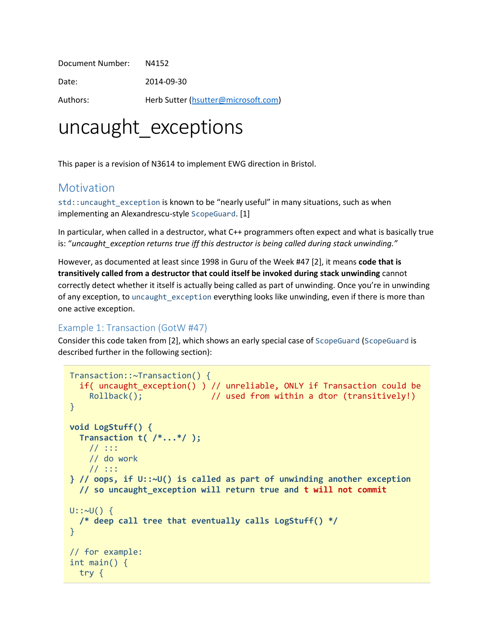Document Number: N4152 Date: 2014-09-30 Authors: Herb Sutter [\(hsutter@microsoft.com\)](mailto:hsutter@microsoft.com)

# uncaught exceptions

This paper is a revision of N3614 to implement EWG direction in Bristol.

#### **Motivation**

std::uncaught\_exception is known to be "nearly useful" in many situations, such as when implementing an Alexandrescu-style ScopeGuard. [1]

In particular, when called in a destructor, what C++ programmers often expect and what is basically true is: "*uncaught\_exception returns true iff this destructor is being called during stack unwinding."*

However, as documented at least since 1998 in Guru of the Week #47 [2], it means **code that is transitively called from a destructor that could itself be invoked during stack unwinding** cannot correctly detect whether it itself is actually being called as part of unwinding. Once you're in unwinding of any exception, to uncaught exception everything looks like unwinding, even if there is more than one active exception.

#### Example 1: Transaction (GotW #47)

Consider this code taken from [2], which shows an early special case of ScopeGuard (ScopeGuard is described further in the following section):

```
Transaction::~Transaction() {
   if( uncaught_exception() ) // unreliable, ONLY if Transaction could be
    Rollback(); \frac{1}{2} used from within a dtor (transitively!)
}
void LogStuff() {
   Transaction t( /*...*/ );
    // :::
    // do work
    // :::
} // oops, if U::~U() is called as part of unwinding another exception
   // so uncaught_exception will return true and t will not commit
U::~U() {
   /* deep call tree that eventually calls LogStuff() */
}
// for example:
int main() {
  try {
```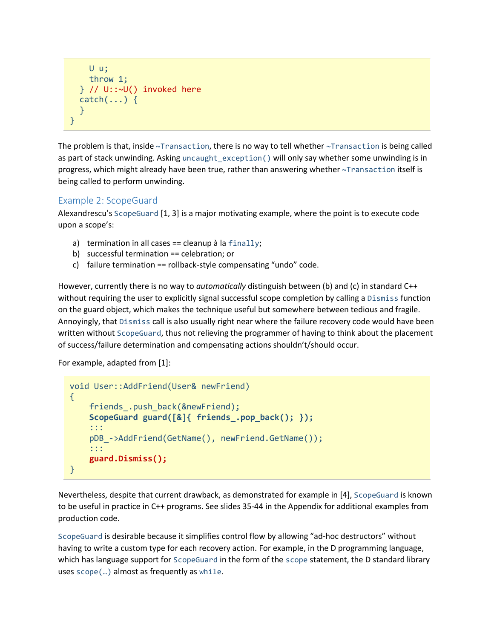```
 U u;
     throw 1;
  } // U::\sim U() invoked here
  catch(...) { } }
}
```
The problem is that, inside ~Transaction, there is no way to tell whether ~Transaction is being called as part of stack unwinding. Asking uncaught exception() will only say whether some unwinding is in progress, which might already have been true, rather than answering whether ~Transaction itself is being called to perform unwinding.

#### Example 2: ScopeGuard

Alexandrescu's ScopeGuard [1, 3] is a major motivating example, where the point is to execute code upon a scope's:

- a) termination in all cases == cleanup à la  $finally;$
- b) successful termination == celebration; or
- c) failure termination == rollback-style compensating "undo" code.

However, currently there is no way to *automatically* distinguish between (b) and (c) in standard C++ without requiring the user to explicitly signal successful scope completion by calling a Dismiss function on the guard object, which makes the technique useful but somewhere between tedious and fragile. Annoyingly, that Dismiss call is also usually right near where the failure recovery code would have been written without ScopeGuard, thus not relieving the programmer of having to think about the placement of success/failure determination and compensating actions shouldn't/should occur.

#### For example, adapted from [1]:

```
void User::AddFriend(User& newFriend)
{
     friends_.push_back(&newFriend);
     ScopeGuard guard([&]{ friends_.pop_back(); });
     :::
     pDB_->AddFriend(GetName(), newFriend.GetName());
     :::
     guard.Dismiss();
}
```
Nevertheless, despite that current drawback, as demonstrated for example in [4], ScopeGuard is known to be useful in practice in C++ programs. See slides 35-44 in the Appendix for additional examples from production code.

ScopeGuard is desirable because it simplifies control flow by allowing "ad-hoc destructors" without having to write a custom type for each recovery action. For example, in the D programming language, which has language support for ScopeGuard in the form of the scope statement, the D standard library uses scope(…) almost as frequently as while.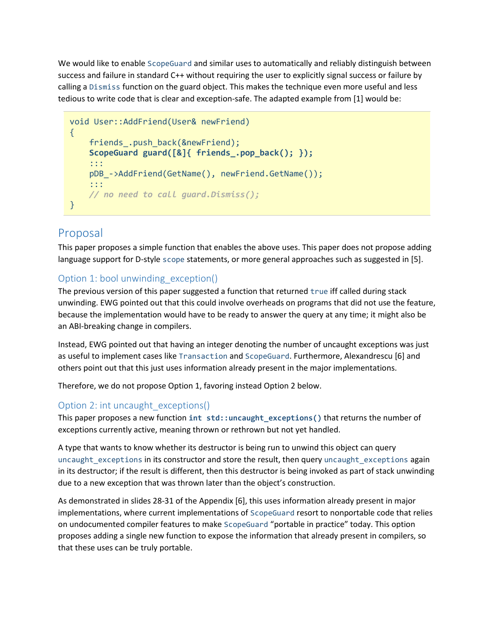We would like to enable ScopeGuard and similar uses to automatically and reliably distinguish between success and failure in standard C++ without requiring the user to explicitly signal success or failure by calling a Dismiss function on the guard object. This makes the technique even more useful and less tedious to write code that is clear and exception-safe. The adapted example from [1] would be:

```
void User::AddFriend(User& newFriend)
{
    friends .push back(&newFriend);
     ScopeGuard guard([&]{ friends_.pop_back(); });
     :::
     pDB_->AddFriend(GetName(), newFriend.GetName());
     :::
    // no need to call guard.Dismiss();
}
```
### Proposal

This paper proposes a simple function that enables the above uses. This paper does not propose adding language support for D-style scope statements, or more general approaches such as suggested in [5].

#### Option 1: bool unwinding\_exception()

The previous version of this paper suggested a function that returned true iff called during stack unwinding. EWG pointed out that this could involve overheads on programs that did not use the feature, because the implementation would have to be ready to answer the query at any time; it might also be an ABI-breaking change in compilers.

Instead, EWG pointed out that having an integer denoting the number of uncaught exceptions was just as useful to implement cases like Transaction and ScopeGuard. Furthermore, Alexandrescu [6] and others point out that this just uses information already present in the major implementations.

Therefore, we do not propose Option 1, favoring instead Option 2 below.

#### Option 2: int uncaught\_exceptions()

This paper proposes a new function **int std::uncaught\_exceptions()** that returns the number of exceptions currently active, meaning thrown or rethrown but not yet handled.

A type that wants to know whether its destructor is being run to unwind this object can query uncaught\_exceptions in its constructor and store the result, then query uncaught\_exceptions again in its destructor; if the result is different, then this destructor is being invoked as part of stack unwinding due to a new exception that was thrown later than the object's construction.

As demonstrated in slides 28-31 of the Appendix [6], this uses information already present in major implementations, where current implementations of ScopeGuard resort to nonportable code that relies on undocumented compiler features to make ScopeGuard "portable in practice" today. This option proposes adding a single new function to expose the information that already present in compilers, so that these uses can be truly portable.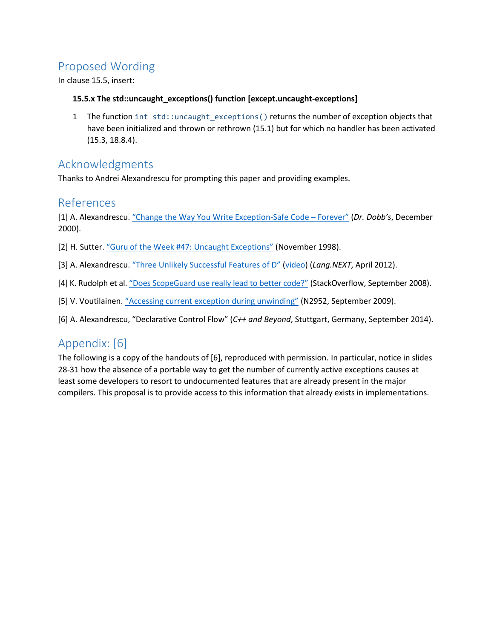### Proposed Wording

In clause 15.5, insert:

#### **15.5.x The std::uncaught\_exceptions() function [except.uncaught-exceptions]**

1 The function int std:: uncaught exceptions() returns the number of exception objects that have been initialized and thrown or rethrown (15.1) but for which no handler has been activated (15.3, 18.8.4).

### Acknowledgments

Thanks to Andrei Alexandrescu for prompting this paper and providing examples.

#### References

[1] A. Alexandrescu. "[Change the Way You Write Exception-Safe Code](http://www.drdobbs.com/cpp/generic-change-the-way-you-write-excepti/184403758) – Forever" (*Dr. Dobb's*, December 2000).

- [2] H. Sutter. ["Guru of the Week #47: Uncaught Exceptions"](http://www.gotw.ca/gotw/047.htm) (November 1998).
- [3] A. Alexandrescu. "[Three Unlikely Successful Features of D](http://ecn.channel9.msdn.com/events/LangNEXT2012/AndreiLangNext.pdf)" [\(video\)](http://channel9.msdn.com/Events/Lang-NEXT/Lang-NEXT-2012/Three-Unlikely-Successful-Features-of-D) (*Lang.NEXT*, April 2012).
- [4] K. Rudolph et al. ["Does ScopeGuard use really lead to better code?"](http://stackoverflow.com/questions/48647/does-scopeguard-use-really-lead-to-better-code) (StackOverflow, September 2008).
- [5] V. Voutilainen. "Accessing cur[rent exception during unwinding](http://open-std.org/JTC1/SC22/WG21/docs/papers/2009/n2952.html)" (N2952, September 2009).
- [6] A. Alexandrescu, "Declarative Control Flow" (*C++ and Beyond*, Stuttgart, Germany, September 2014).

### Appendix: [6]

The following is a copy of the handouts of [6], reproduced with permission. In particular, notice in slides 28-31 how the absence of a portable way to get the number of currently active exceptions causes at least some developers to resort to undocumented features that are already present in the major compilers. This proposal is to provide access to this information that already exists in implementations.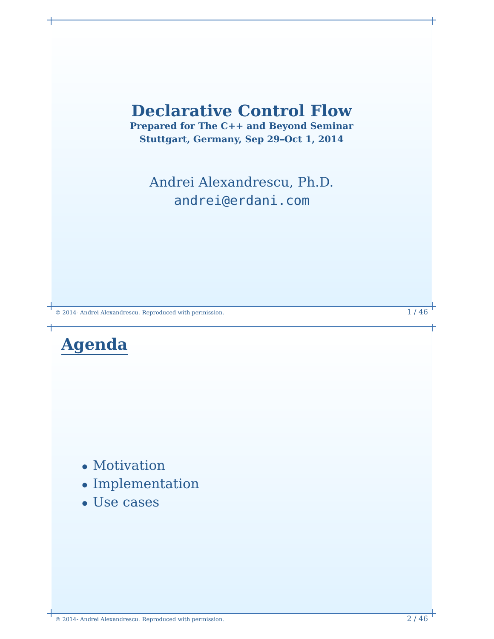

- Motivation
- Implementation
- Use cases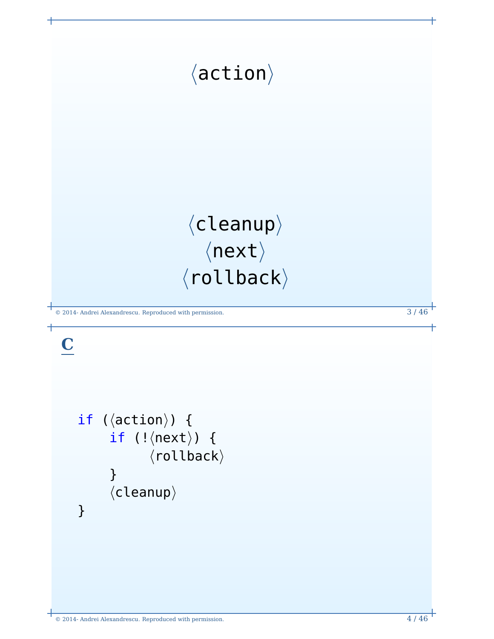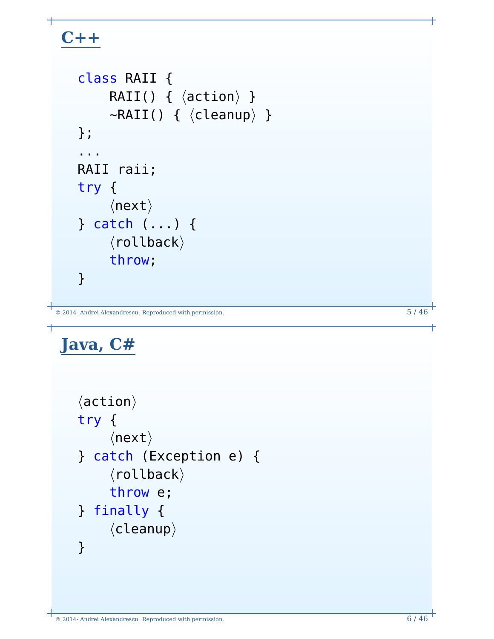# **C++**

```
© 2014- Andrei Alexandrescu. Reproduced with permission. 5 / 46
    class RAII {
         RAII() { \langle action\rangle }
         \simRAII() { \langle cleanup\rangle }
    };
    ...
   RAII raii;
   try {
         \langlenext\rangle} catch (...) {
          \langlerollback\ranglethrow;
    }
```
# **Java, C#**

```
\langleaction\rangletry {
     \langlenext\rangle} catch (Exception e) {
      \langlerollback\ranglethrow e;
} finally {
      \langlecleanup\rangle}
```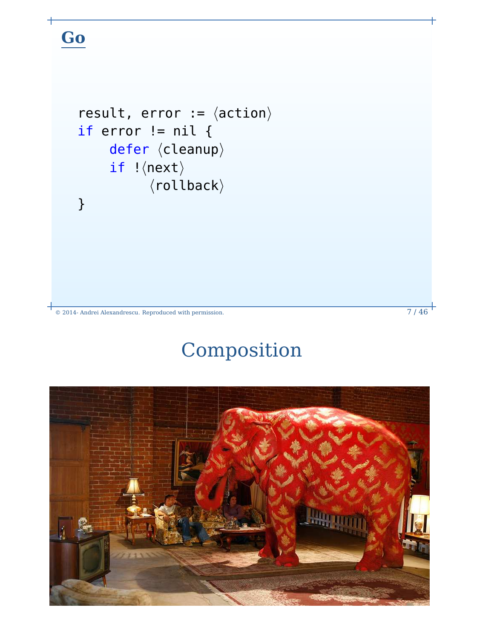# **Go**

```
result, error := \langle \text{action} \rangleif error != nil {
       defer \langle cleanup \rangleif \vert \langlenext\rangle\langlerollback\rangle}
```
© 2014- Andrei Alexandrescu. Reproduced with permission. 7 / 46

# Composition

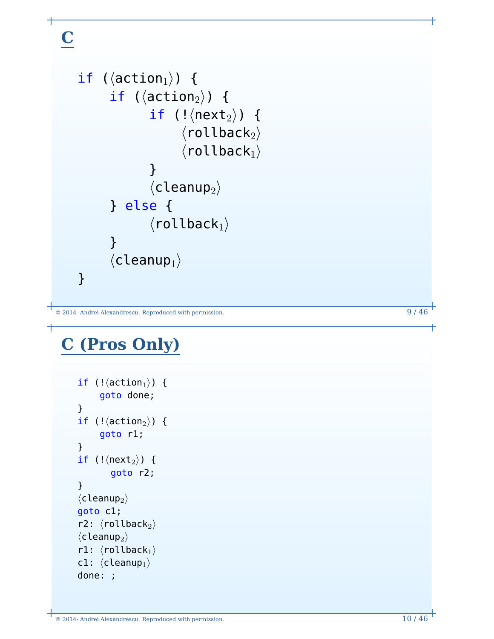# **C**

```
if (\langleaction<sub>1</sub>\rangle) {
          if (\langleaction<sub>2</sub>\rangle) {
                       if (!\langlenext<sub>2</sub>\rangle) {
                                \langlerollback_2\rangle\langlerollback<sub>1</sub>\rangle}
                       \langlecleanup<sub>2</sub>)
          } else {
                       \langlerollback<sub>1</sub>\rangle}
          \langlecleanup<sub>1</sub>)
}
```

```
© 2014- Andrei Alexandrescu. Reproduced with permission. 9 / 46
```
# **C (Pros Only)**

```
if (!\langleaction<sub>1</sub>\rangle) {
         goto done;
}
if (!\langleaction<sub>2</sub>\rangle) {
        goto r1;
}
if (!\langlenext<sub>2</sub>\rangle) {
             goto r2;
}
\langlecleanup<sub>2</sub>\ranglegoto c1;
r2: \langlerollback<sub>2</sub>\rangle\langlecleanup<sub>2</sub>\rangler1: \langlerollback<sub>1</sub>\ranglec1: \langlecleanup<sub>1</sub>\rangledone: ;
```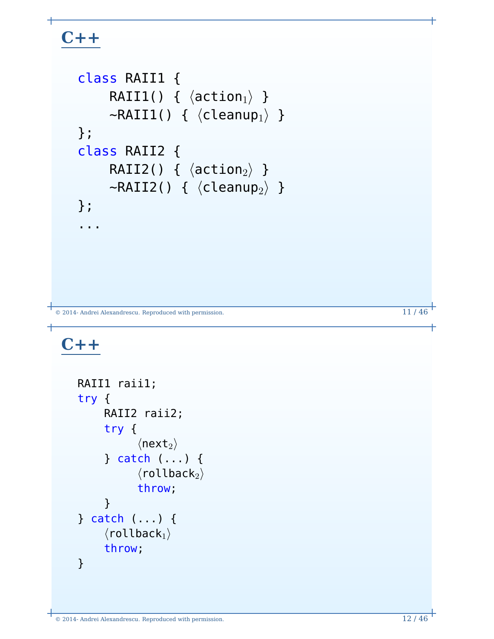# **C++**

```
class RAII1 {
       RAII1() { \langle action<sub>1</sub>\rangle }
       \simRAII1() { \langle cleanup<sub>1</sub>} }
};
class RAII2 {
       RAII2() { \langle action<sub>2</sub>\rangle }
       \negRAII2() { \langle cleanup<sub>2</sub>\rangle }
};
...
```
© 2014- Andrei Alexandrescu. Reproduced with permission. 11 / 46

# **C++**

```
RAII1 raii1;
try {
      RAII2 raii2;
       try {
               \langlenext<sub>2</sub>\rangle} catch (...) {
               \langlerollback<sub>2</sub>\ranglethrow;
       }
} catch (...) {
      \langlerollback<sub>1</sub>\ranglethrow;
}
```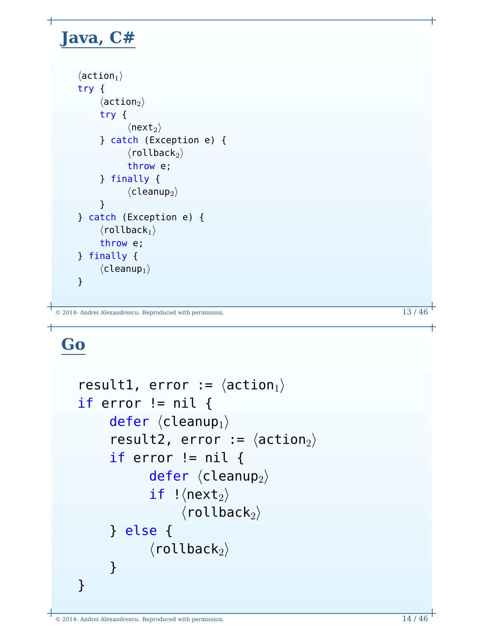# **Java, C#**

```
\langleaction<sub>1</sub>\rangletry {
        \langleaction<sub>2</sub>\rangletry {
                  \langlenext<sub>2</sub>\rangle} catch (Exception e) {
                  \langlerollback<sub>2</sub>\ranglethrow e;
        } finally {
                  \langlecleanup<sub>2</sub>\rangle}
} catch (Exception e) {
       \langlerollback_1\ranglethrow e;
} finally {
        \langlecleanup<sub>1</sub>\rangle}
```

```
© 2014- Andrei Alexandrescu. Reproduced with permission. 13 / 46
```
# **Go**

```
result1, error := \langle \arctan_1 \rangleif error != nil {
       defer \langlecleanup<sub>1</sub>\rangleresult2, error := \langle \arctan_2 \rangleif error != nil {
                defer \langlecleanup<sub>2</sub>\rangleif \vert (next<sub>2</sub>)
                       \langlerollback_2\rangle} else {
                \langlerollback<sub>2</sub>\rangle}
}
```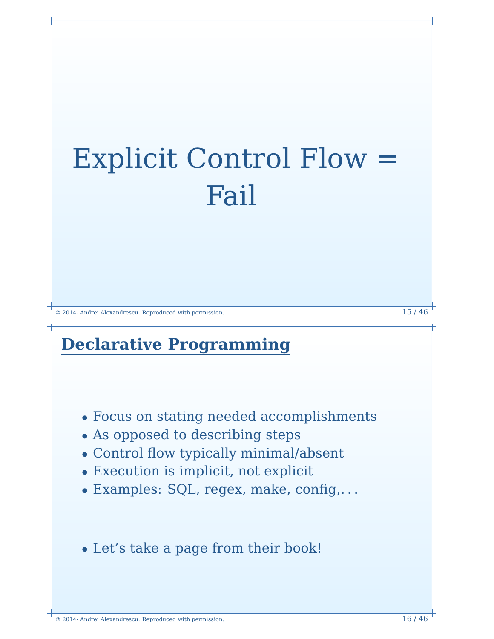# Explicit Control Flow = Fail

© 2014- Andrei Alexandrescu. Reproduced with permission. 15 / 46

# **Declarative Programming**

- Focus on stating needed accomplishments
- As opposed to describing steps
- Control flow typically minimal/absent
- Execution is implicit, not explicit
- Examples: SQL, regex, make, config,. . .
- Let's take a page from their book!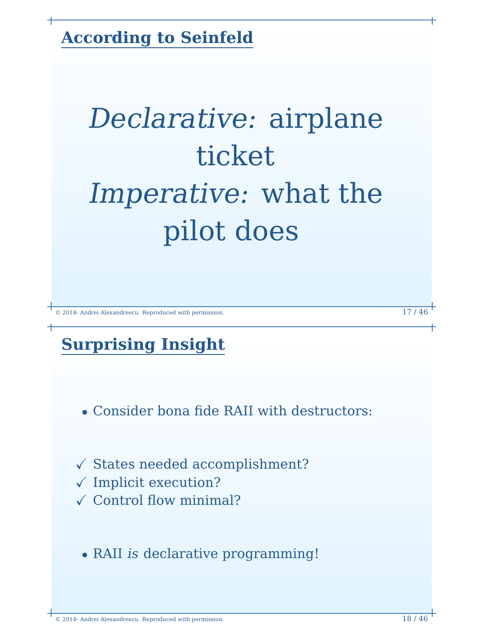**According to Seinfeld**

# Declarative: airplane ticket Imperative: what the pilot does

© 2014- Andrei Alexandrescu. Reproduced with permission. 17 / 46

# **Surprising Insight**

- Consider bona fide RAII with destructors:
- $\checkmark$  States needed accomplishment?
- $\checkmark$  Implicit execution?
- $\checkmark$  Control flow minimal?
	- RAII is declarative programming!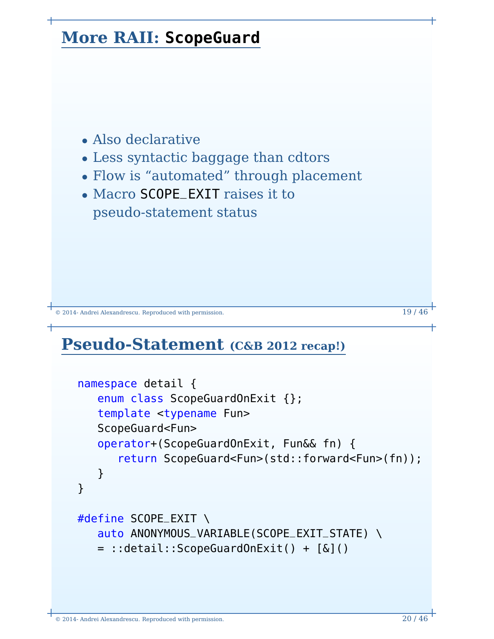

- Also declarative
- Less syntactic baggage than cdtors
- Flow is "automated" through placement
- Macro SCOPE\_EXIT raises it to pseudo-statement status

 $\degree$  2014- Andrei Alexandrescu. Reproduced with permission. 19 / 46

### **Pseudo-Statement (C&B 2012 recap!)**

```
namespace detail {
   enum class ScopeGuardOnExit {};
   template <typename Fun>
   ScopeGuard<Fun>
   operator+(ScopeGuardOnExit, Fun&& fn) {
      return ScopeGuard<Fun>(std::forward<Fun>(fn));
   }
}
#define SCOPE_EXIT \
   auto ANONYMOUS_VARIABLE(SCOPE_EXIT_STATE) \
   = ::detail::ScopeGuardOnExit() + [&]()
```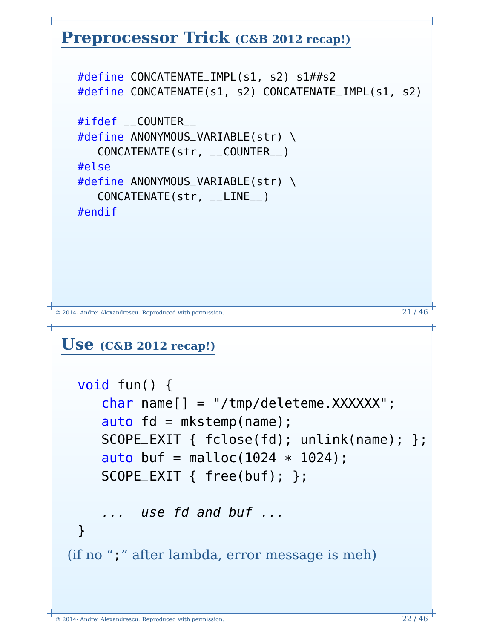### **Preprocessor Trick (C&B 2012 recap!)**

#define CONCATENATE\_IMPL(s1, s2) s1##s2 #define CONCATENATE(s1, s2) CONCATENATE\_IMPL(s1, s2) #ifdef \_\_COUNTER\_\_ #define ANONYMOUS\_VARIABLE(str) \ CONCATENATE(str, \_\_COUNTER\_\_) #else #define ANONYMOUS\_VARIABLE(str) \ CONCATENATE(str, \_\_LINE\_\_) #endif

```
\degree 2014- Andrei Alexandrescu. Reproduced with permission. 21 / 46
```
### **Use (C&B 2012 recap!)**

```
void fun() {
    char name[] = "/tmp/deleteme.XXXXXX";
    auto fd = mkstemp(name);
    SCOPE_EXIT { fclose(fd); unlink(name); };
    auto buf = malloc(1024 * 1024);
    SCOPE_EXIT { free(buf); };
    ... use fd and buf ...
 }
(if no ";" after lambda, error message is meh)
```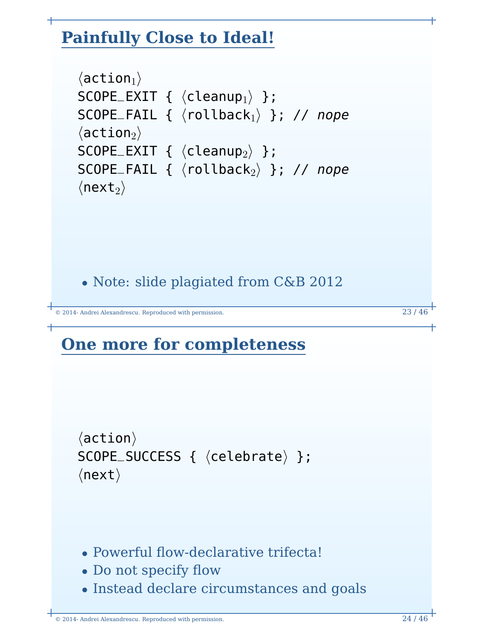# **Painfully Close to Ideal!**

```
\langleaction<sub>1</sub>\rangleSCOPE_EXIT { \langle cleanup<sub>1</sub>} };
SCOPE_FAIL { \langlerollback<sub>1</sub>} }; // nope
\langleaction<sub>2</sub>\rangleSCOPE_EXIT { \langle cleanup<sub>2</sub>\rangle };
SCOPE_FAIL { \langlerollback<sub>2</sub>} }; // nope
\langlenext<sub>2</sub>\rangle
```
• Note: slide plagiated from C&B 2012

© 2014- Andrei Alexandrescu. Reproduced with permission. 23 / 46

# **One more for completeness**

```
\langleaction\rangleSCOPE_SUCCESS { \langle celebrate\rangle };
\langlenext\rangle
```
- Powerful flow-declarative trifecta!
- Do not specify flow
- Instead declare circumstances and goals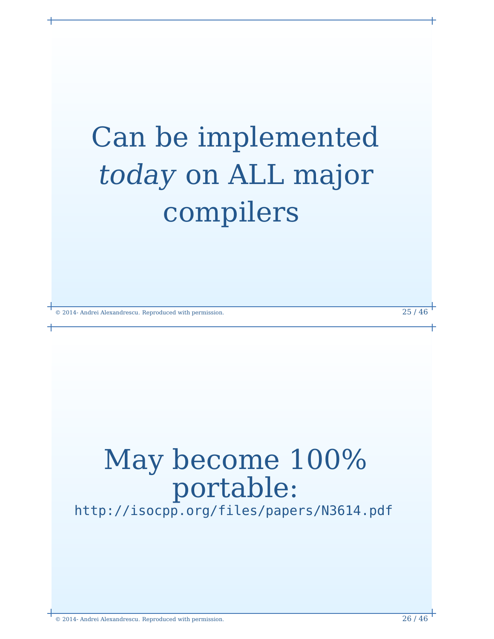# Can be implemented today on ALL major compilers

© 2014- Andrei Alexandrescu. Reproduced with permission. 25 / 46

# May become 100% portable:

<http://isocpp.org/files/papers/N3614.pdf>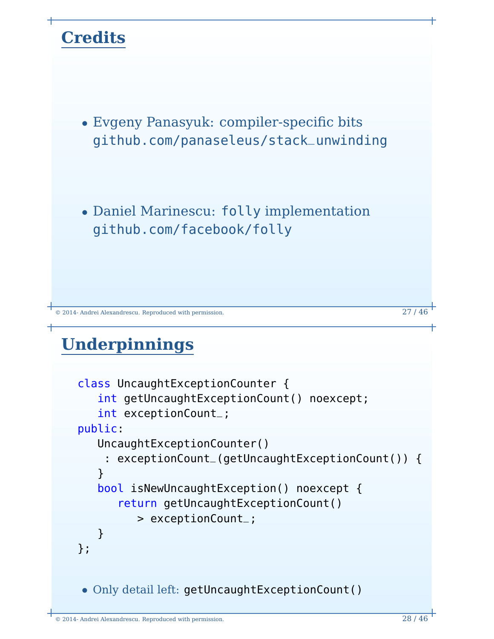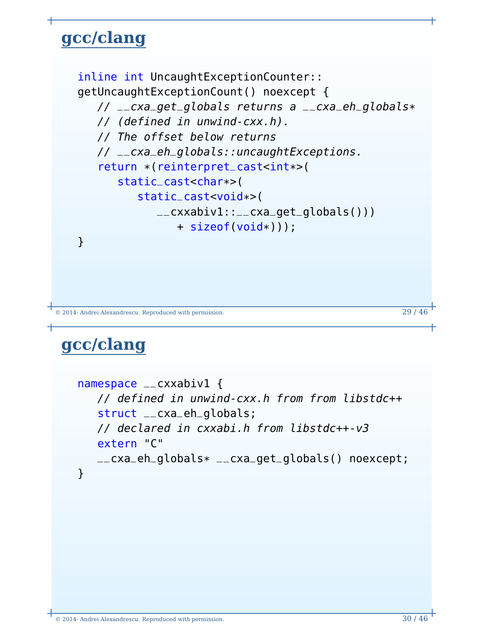# **gcc/clang**

```
inline int UncaughtExceptionCounter::
getUncaughtExceptionCount() noexcept {
   // __cxa_get_globals returns a __cxa_eh_globals*
   // (defined in unwind-cxx.h).
   // The offset below returns
   // __cxa_eh_globals::uncaughtExceptions.
   return *(reinterpret_cast<int*>(
      static_cast<char*>(
         static_cast<void*>(
            _{--}cxxabiv1::_{--}cxa_{-}get_{-}globals()))
               + sizeof(void*)));
}
```

```
© 2014- Andrei Alexandrescu. Reproduced with permission. 29 / 46
```
## **gcc/clang**

```
namespace __cxxabiv1 {
  // defined in unwind-cxx.h from from libstdc++
   struct __cxa_eh_globals;
   // declared in cxxabi.h from libstdc++-v3
   extern "C"
   __cxa_eh_globals*
__cxa_get_globals() noexcept;
}
```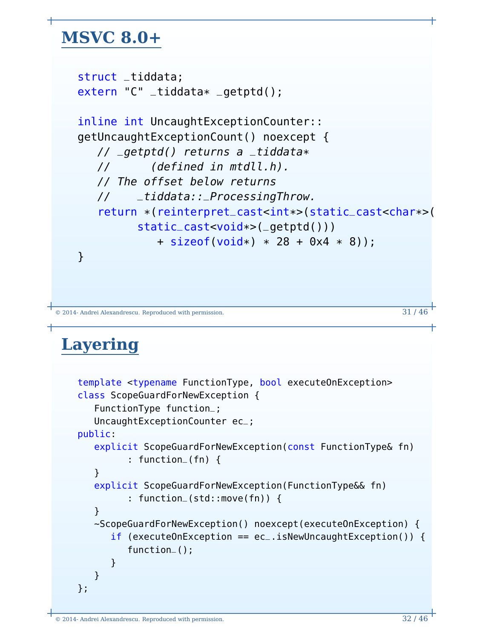# **MSVC 8.0+**

```
struct _tiddata;
extern "C" _tiddata* _getptd();
inline int UncaughtExceptionCounter::
getUncaughtExceptionCount() noexcept {
   // _getptd() returns a _tiddata*
   // (defined in mtdll.h).
  // The offset below returns
   // _tiddata::_ProcessingThrow.
   return *(reinterpret_cast<int*>(static_cast<char*>(
         static_cast<void*>(_getptd()))
            + sizeof(void*) * 28 + 0x4 * 8));
}
```

```
© 2014- Andrei Alexandrescu. Reproduced with permission. 31 / 46
```
# **Layering**

```
template <typename FunctionType, bool executeOnException>
class ScopeGuardForNewException {
   FunctionType function_;
  UncaughtExceptionCounter ec_;
public:
   explicit ScopeGuardForNewException(const FunctionType& fn)
         : function_(fn) {
   }
   explicit ScopeGuardForNewException(FunctionType&& fn)
         : function_(std::move(fn)) {
   }
   ~ScopeGuardForNewException() noexcept(executeOnException) {
      if (executeOnException == ec.isNewUncaughtException()) {
         function_();
      }
   }
};
```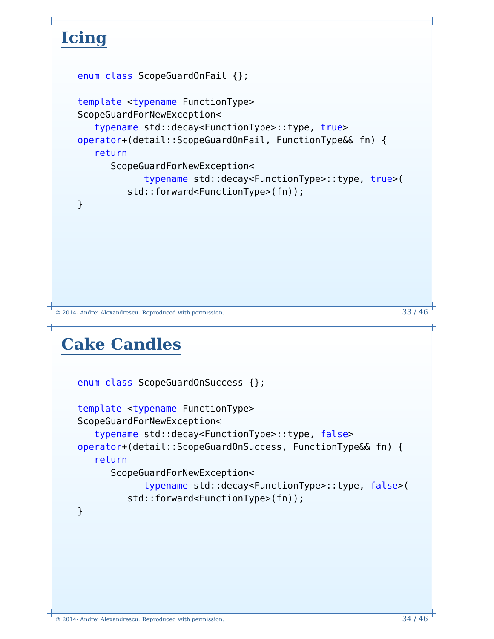### **Icing** enum class ScopeGuardOnFail {}; template <typename FunctionType> ScopeGuardForNewException< typename std::decay<FunctionType>::type, true> operator+(detail::ScopeGuardOnFail, FunctionType&& fn) { return ScopeGuardForNewException< typename std::decay<FunctionType>::type, true>( std::forward<FunctionType>(fn)); }

```
© 2014- Andrei Alexandrescu. Reproduced with permission. 33 / 46
```
# **Cake Candles**

```
enum class ScopeGuardOnSuccess {};
template <typename FunctionType>
ScopeGuardForNewException<
   typename std::decay<FunctionType>::type, false>
operator+(detail::ScopeGuardOnSuccess, FunctionType&& fn) {
   return
      ScopeGuardForNewException<
            typename std::decay<FunctionType>::type, false>(
         std::forward<FunctionType>(fn));
}
```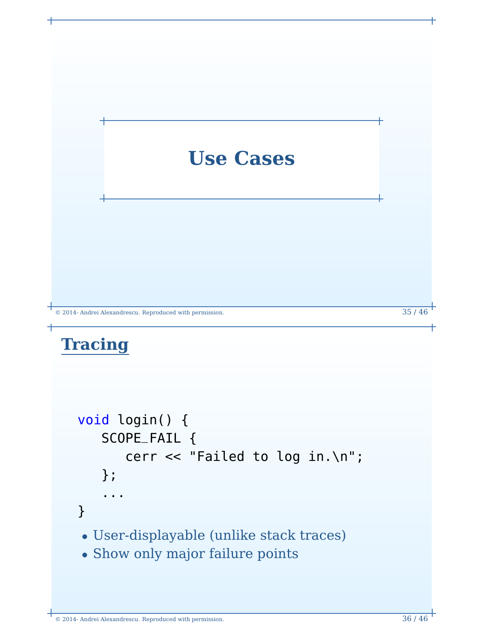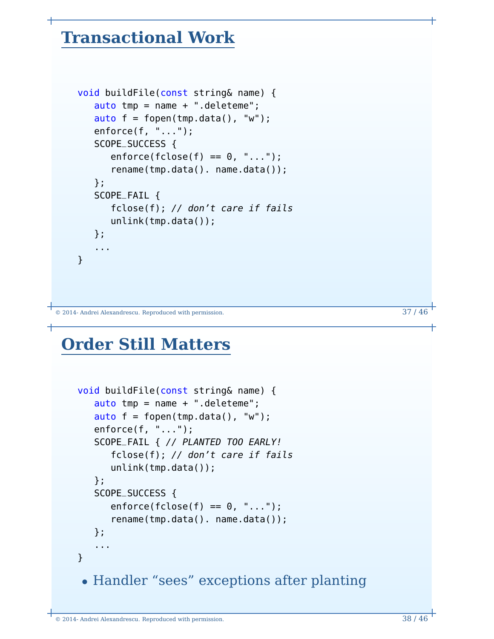### **Transactional Work**

```
void buildFile(const string& name) {
   auto tmp = name + ".deleteme";
   auto f = fopen(tmp.data(), "w");
   enforce(f, "...");
   SCOPE_SUCCESS {
      enforce(fclose(f) == 0, "...");rename(tmp.data(). name.data());
   };
   SCOPE_FAIL {
      fclose(f); // don't care if fails
      unlink(tmp.data());
   };
   ...
}
```
© 2014- Andrei Alexandrescu. Reproduced with permission. 37 / 46

## **Order Still Matters**

```
void buildFile(const string& name) {
  auto tmp = name + "deleteme";auto f = fopen(tmp.data(), "w");
  enforce(f, "...");
  SCOPE_FAIL { // PLANTED TOO EARLY!
     fclose(f); // don't care if fails
     unlink(tmp.data());
  };
  SCOPE_SUCCESS {
     enforce(fclose(f) == 0, "...");
      rename(tmp.data(). name.data());
  };
   ...
}
• Handler "sees" exceptions after planting
```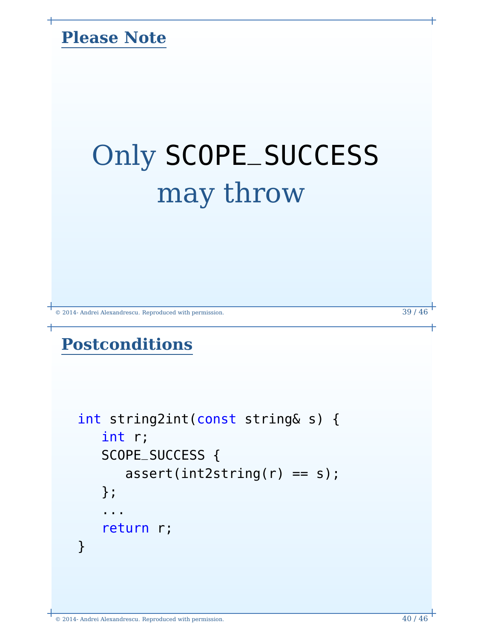### **Please Note**

# Only SCOPE\_SUCCESS may throw

© 2014- Andrei Alexandrescu. Reproduced with permission. 39 / 46

# **Postconditions**

```
int string2int(const string& s) {
   int r;
   SCOPE_SUCCESS {
      assert(int2string(r) == s);};
   ...
   return r;
}
```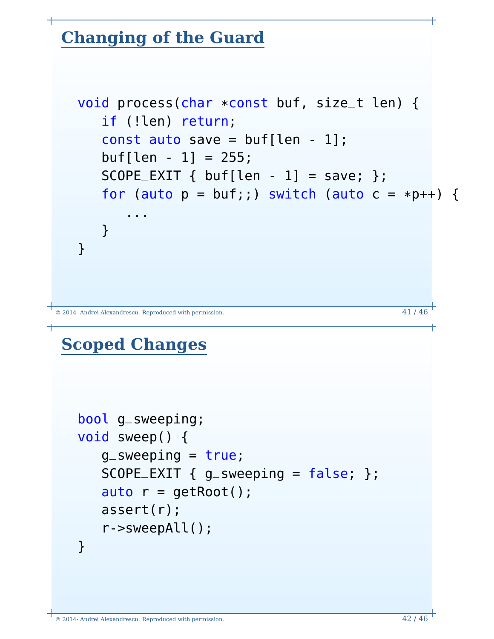# **Changing of the Guard**

```
void process(char *const buf, size_t len) {
   if (!len) return;
   const auto save = buf[len - 1];
   buf[len - 1] = 255;SCOPE\_EXIT { buf[len - 1] = save; };
   for (auto p = \text{buf};) switch (auto c = \text{*}p++) {
      ...
   }
}
```
© 2014- Andrei Alexandrescu. Reproduced with permission. 41 / 46

# **Scoped Changes**

```
bool g_sweeping;
void sweep() {
   q_sweeping = true;
   SCOPE\_EXIT { g sweeping = false; };
   auto r = getRoot();
   assert(r);
  r->sweepAll();
}
```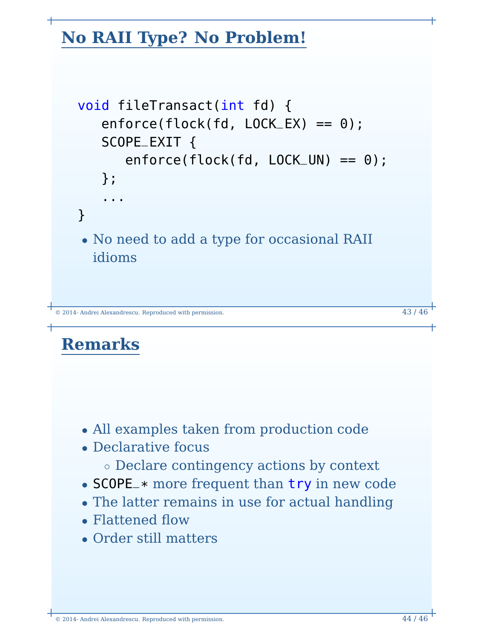# **No RAII Type? No Problem!**

```
void fileTransact(int fd) {
   enforce(flock(fd, LOCK_EX) == 0);SCOPE_EXIT {
      enforce(flock(fd, LOCK_UN) == 0);
   };
   ...
}
• No need to add a type for occasional RAII
 idioms
```

```
\degree 2014- Andrei Alexandrescu. Reproduced with permission. 43 / 46
```
## **Remarks**

- All examples taken from production code
- Declarative focus
	- Declare contingency actions by context
- SCOPE\_\* more frequent than try in new code
- The latter remains in use for actual handling
- Flattened flow
- Order still matters